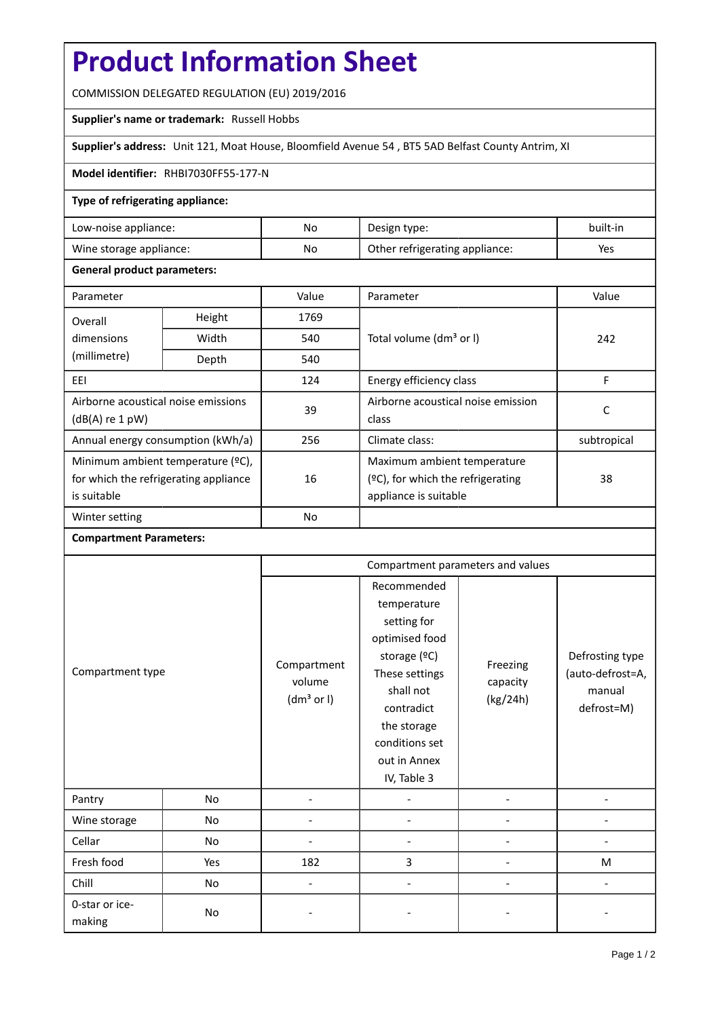# **Product Information Sheet**

COMMISSION DELEGATED REGULATION (EU) 2019/2016

# **Supplier's name or trademark:** Russell Hobbs

**Supplier's address:** Unit 121, Moat House, Bloomfield Avenue 54 , BT5 5AD Belfast County Antrim, XI

## **Model identifier:** RHBI7030FF55-177-N

# **Type of refrigerating appliance:**

| Low-noise appliance:    | No | Design type:                   | built-in |
|-------------------------|----|--------------------------------|----------|
| Wine storage appliance: | No | Other refrigerating appliance: | Yes      |

### **General product parameters:**

| Parameter                             |                | Value     | Parameter                            | Value       |
|---------------------------------------|----------------|-----------|--------------------------------------|-------------|
| Overall                               | Height<br>1769 |           |                                      |             |
| dimensions                            | Width          | 540       | Total volume (dm <sup>3</sup> or I)  | 242         |
| (millimetre)                          | Depth          | 540       |                                      |             |
| EEI                                   |                | 124       | Energy efficiency class              | F           |
| Airborne acoustical noise emissions   |                | 39        | Airborne acoustical noise emission   |             |
| $(dB(A)$ re 1 pW)                     |                |           | class                                | С           |
| Annual energy consumption (kWh/a)     |                | 256       | Climate class:                       | subtropical |
| Minimum ambient temperature (°C),     |                |           | Maximum ambient temperature          |             |
| for which the refrigerating appliance |                | 16        | $(2C)$ , for which the refrigerating | 38          |
| is suitable                           |                |           | appliance is suitable                |             |
| Winter setting                        |                | <b>No</b> |                                      |             |

### **Compartment Parameters:**

| Compartment type         |     | Compartment parameters and values               |                                                                                                                                                                                          |                                  |                                                             |
|--------------------------|-----|-------------------------------------------------|------------------------------------------------------------------------------------------------------------------------------------------------------------------------------------------|----------------------------------|-------------------------------------------------------------|
|                          |     | Compartment<br>volume<br>(dm <sup>3</sup> or I) | Recommended<br>temperature<br>setting for<br>optimised food<br>storage (°C)<br>These settings<br>shall not<br>contradict<br>the storage<br>conditions set<br>out in Annex<br>IV, Table 3 | Freezing<br>capacity<br>(kg/24h) | Defrosting type<br>(auto-defrost=A,<br>manual<br>defrost=M) |
| Pantry                   | No  |                                                 |                                                                                                                                                                                          |                                  |                                                             |
| Wine storage             | No  |                                                 |                                                                                                                                                                                          |                                  |                                                             |
| Cellar                   | No  |                                                 |                                                                                                                                                                                          |                                  |                                                             |
| Fresh food               | Yes | 182                                             | 3                                                                                                                                                                                        |                                  | M                                                           |
| Chill                    | No  | $\overline{a}$                                  |                                                                                                                                                                                          |                                  |                                                             |
| 0-star or ice-<br>making | No  |                                                 |                                                                                                                                                                                          |                                  |                                                             |